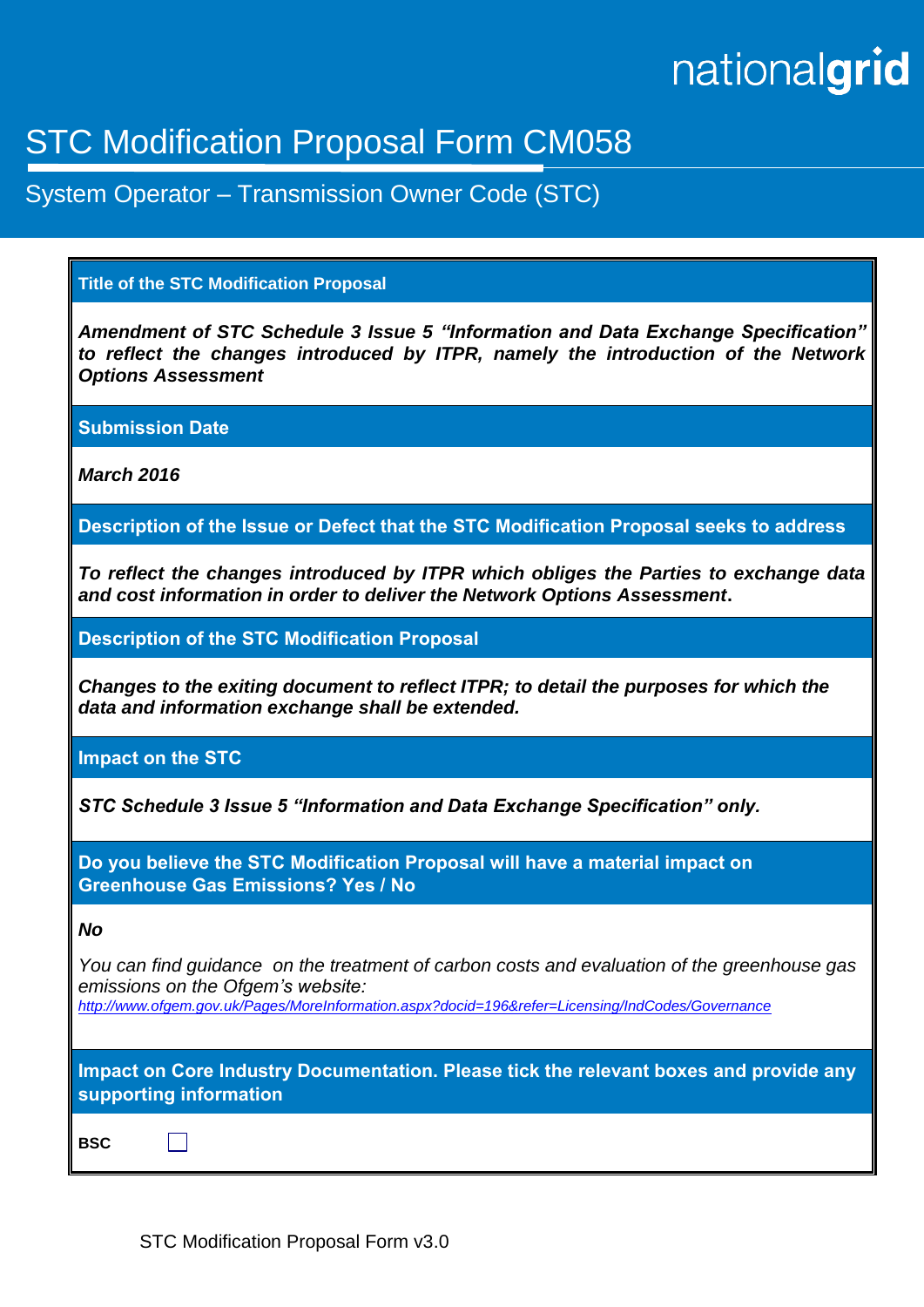# nationalgrid

# STC Modification Proposal Form CM058

System Operator – Transmission Owner Code (STC)

# **Title of the STC Modification Proposal**

*Amendment of STC Schedule 3 Issue 5 "Information and Data Exchange Specification" to reflect the changes introduced by ITPR, namely the introduction of the Network Options Assessment*

**Submission Date**

*March 2016*

**Description of the Issue or Defect that the STC Modification Proposal seeks to address**

*To reflect the changes introduced by ITPR which obliges the Parties to exchange data and cost information in order to deliver the Network Options Assessment***.**

**Description of the STC Modification Proposal**

*Changes to the exiting document to reflect ITPR; to detail the purposes for which the data and information exchange shall be extended.*

**Impact on the STC**

*STC Schedule 3 Issue 5 "Information and Data Exchange Specification" only.*

**Do you believe the STC Modification Proposal will have a material impact on Greenhouse Gas Emissions? Yes / No**

#### *No*

*You can find guidance on the treatment of carbon costs and evaluation of the greenhouse gas emissions on the Ofgem's website:*

*<http://www.ofgem.gov.uk/Pages/MoreInformation.aspx?docid=196&refer=Licensing/IndCodes/Governance>*

**Impact on Core Industry Documentation. Please tick the relevant boxes and provide any supporting information**

**BSC**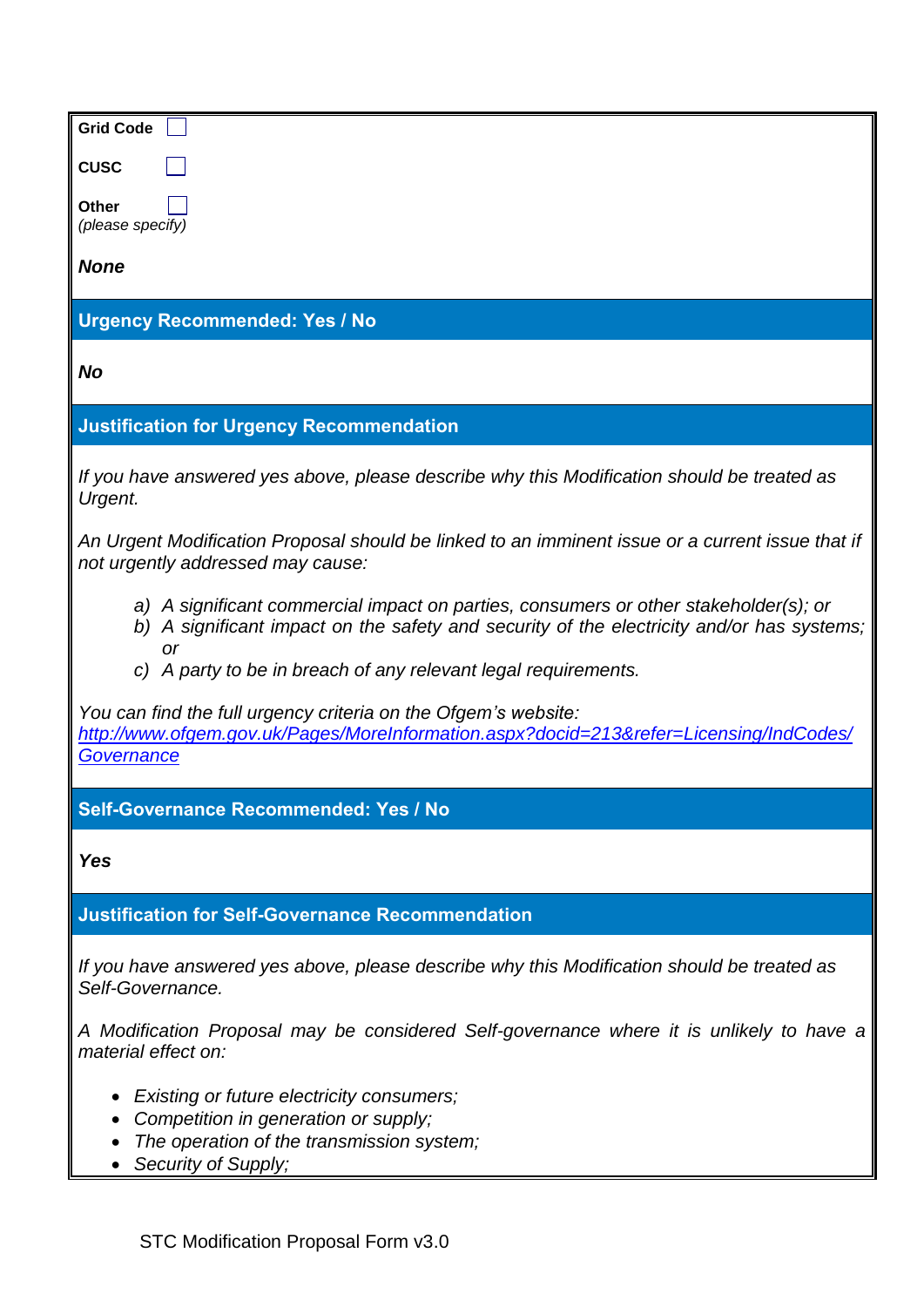| <b>Grid Code</b>                                                                                                                                                                        |  |  |
|-----------------------------------------------------------------------------------------------------------------------------------------------------------------------------------------|--|--|
| <b>CUSC</b>                                                                                                                                                                             |  |  |
| Other                                                                                                                                                                                   |  |  |
| (please specify)                                                                                                                                                                        |  |  |
| <b>None</b>                                                                                                                                                                             |  |  |
| <b>Urgency Recommended: Yes / No</b>                                                                                                                                                    |  |  |
| <b>No</b>                                                                                                                                                                               |  |  |
| <b>Justification for Urgency Recommendation</b>                                                                                                                                         |  |  |
| If you have answered yes above, please describe why this Modification should be treated as<br>Urgent.                                                                                   |  |  |
| An Urgent Modification Proposal should be linked to an imminent issue or a current issue that if<br>not urgently addressed may cause:                                                   |  |  |
| a) A significant commercial impact on parties, consumers or other stakeholder(s); or<br>b) A significant impact on the safety and security of the electricity and/or has systems;<br>or |  |  |
| c) A party to be in breach of any relevant legal requirements.                                                                                                                          |  |  |
| You can find the full urgency criteria on the Ofgem's website:<br>http://www.ofgem.gov.uk/Pages/MoreInformation.aspx?docid=213&refer=Licensing/IndCodes/<br>Governance                  |  |  |
| Self-Governance Recommended: Yes / No                                                                                                                                                   |  |  |
| <b>Yes</b>                                                                                                                                                                              |  |  |
| <b>Justification for Self-Governance Recommendation</b>                                                                                                                                 |  |  |
| If you have answered yes above, please describe why this Modification should be treated as<br>Self-Governance.                                                                          |  |  |
| A Modification Proposal may be considered Self-governance where it is unlikely to have a<br>material effect on:                                                                         |  |  |
| Existing or future electricity consumers;                                                                                                                                               |  |  |
| Competition in generation or supply;<br>The operation of the transmission system;                                                                                                       |  |  |
| Security of Supply;                                                                                                                                                                     |  |  |
|                                                                                                                                                                                         |  |  |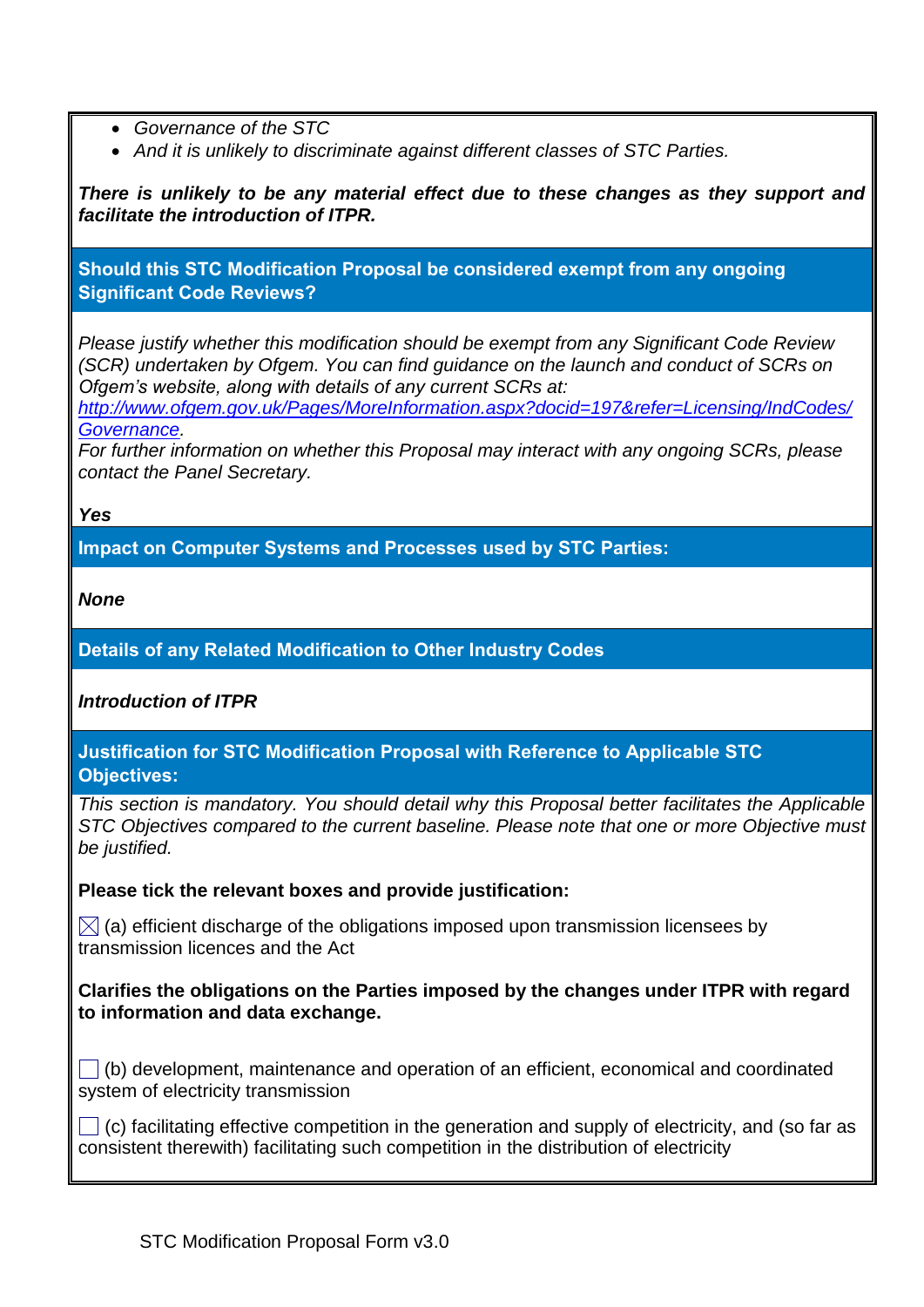- *Governance of the STC*
- *And it is unlikely to discriminate against different classes of STC Parties.*

*There is unlikely to be any material effect due to these changes as they support and facilitate the introduction of ITPR.*

**Should this STC Modification Proposal be considered exempt from any ongoing Significant Code Reviews?**

*Please justify whether this modification should be exempt from any Significant Code Review (SCR) undertaken by Ofgem. You can find guidance on the launch and conduct of SCRs on Ofgem's website, along with details of any current SCRs at:* 

*[http://www.ofgem.gov.uk/Pages/MoreInformation.aspx?docid=197&refer=Licensing/IndCodes/](http://www.ofgem.gov.uk/Pages/MoreInformation.aspx?docid=197&refer=Licensing/IndCodes/Governance) [Governance.](http://www.ofgem.gov.uk/Pages/MoreInformation.aspx?docid=197&refer=Licensing/IndCodes/Governance)* 

*For further information on whether this Proposal may interact with any ongoing SCRs, please contact the Panel Secretary.* 

*Yes*

**Impact on Computer Systems and Processes used by STC Parties:**

*None*

**Details of any Related Modification to Other Industry Codes**

*Introduction of ITPR*

**Justification for STC Modification Proposal with Reference to Applicable STC Objectives:**

*This section is mandatory. You should detail why this Proposal better facilitates the Applicable STC Objectives compared to the current baseline. Please note that one or more Objective must be justified.* 

**Please tick the relevant boxes and provide justification:**

 $\boxtimes$  (a) efficient discharge of the obligations imposed upon transmission licensees by transmission licences and the Act

**Clarifies the obligations on the Parties imposed by the changes under ITPR with regard to information and data exchange.**

 $\Box$  (b) development, maintenance and operation of an efficient, economical and coordinated system of electricity transmission

 $\Box$  (c) facilitating effective competition in the generation and supply of electricity, and (so far as consistent therewith) facilitating such competition in the distribution of electricity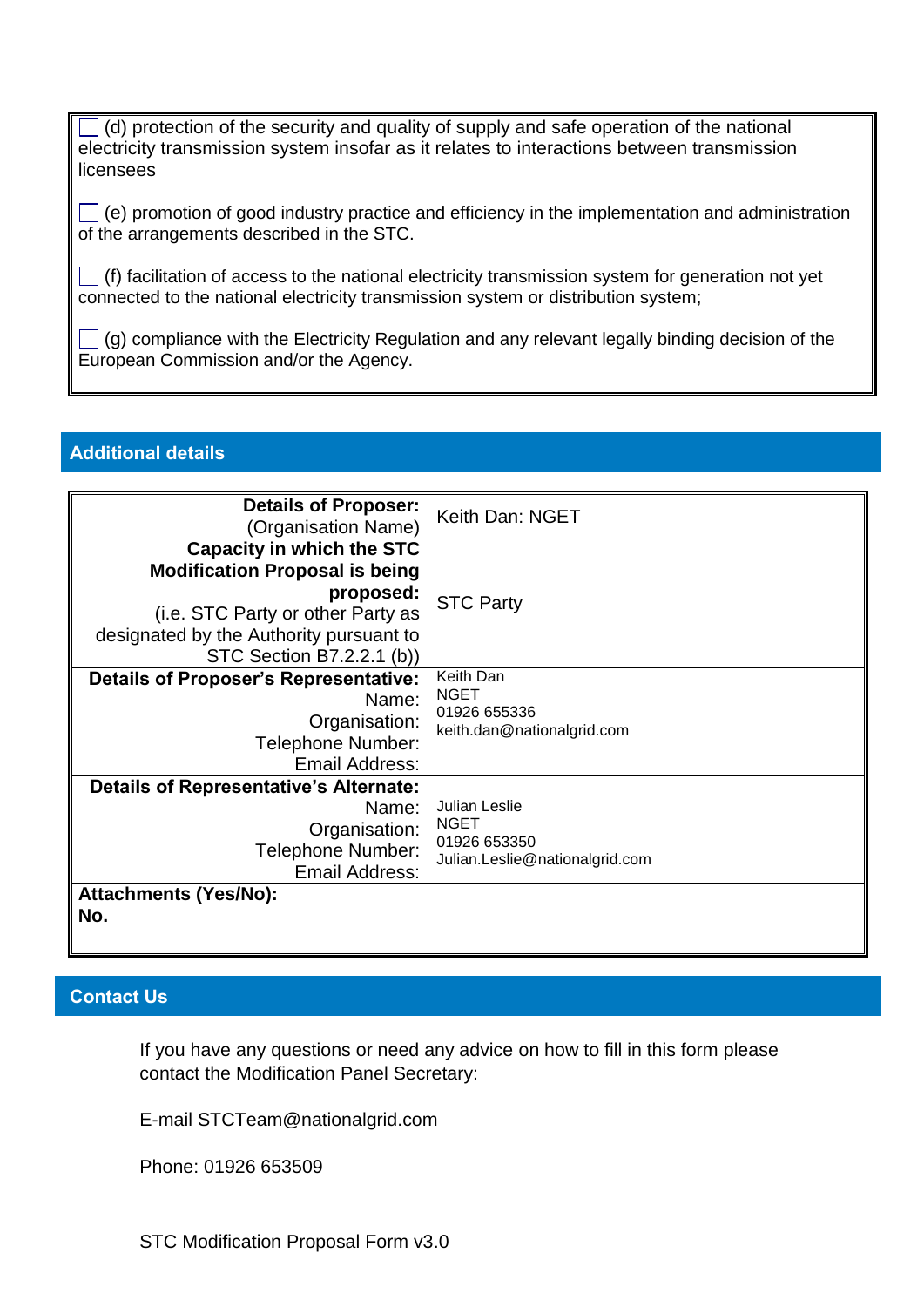$\Box$  (d) protection of the security and quality of supply and safe operation of the national electricity transmission system insofar as it relates to interactions between transmission licensees

 $\Box$  (e) promotion of good industry practice and efficiency in the implementation and administration of the arrangements described in the STC.

 $\Box$  (f) facilitation of access to the national electricity transmission system for generation not yet connected to the national electricity transmission system or distribution system;

 $\Box$  (g) compliance with the Electricity Regulation and any relevant legally binding decision of the European Commission and/or the Agency.

## **Additional details**

| <b>Details of Proposer:</b><br>(Organisation Name) | Keith Dan: NGET                                |
|----------------------------------------------------|------------------------------------------------|
| <b>Capacity in which the STC</b>                   |                                                |
| <b>Modification Proposal is being</b>              |                                                |
| proposed:                                          |                                                |
| (i.e. STC Party or other Party as                  | <b>STC Party</b>                               |
| designated by the Authority pursuant to            |                                                |
| STC Section B7.2.2.1 (b))                          |                                                |
| <b>Details of Proposer's Representative:</b>       | Keith Dan                                      |
| Name:                                              | <b>NGET</b>                                    |
| Organisation:                                      | 01926 655336<br>keith.dan@nationalgrid.com     |
| <b>Telephone Number:</b>                           |                                                |
| Email Address:                                     |                                                |
| <b>Details of Representative's Alternate:</b>      |                                                |
| Name:                                              | Julian Leslie                                  |
| Organisation:                                      | <b>NGET</b>                                    |
| <b>Telephone Number:</b>                           | 01926 653350<br>Julian.Leslie@nationalgrid.com |
| Email Address:                                     |                                                |
| <b>Attachments (Yes/No):</b>                       |                                                |
| No.                                                |                                                |

# **Contact Us**

If you have any questions or need any advice on how to fill in this form please contact the Modification Panel Secretary:

E-mail STCTeam@nationalgrid.com

Phone: 01926 653509